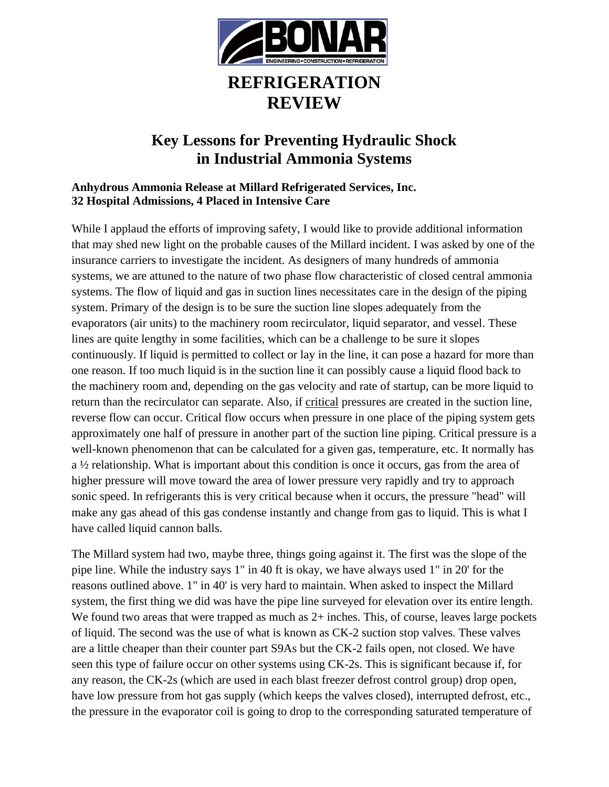

## **REFRIGERATION REVIEW**

## **Key Lessons for Preventing Hydraulic Shock in Industrial Ammonia Systems**

## **Anhydrous Ammonia Release at Millard Refrigerated Services, Inc. 32 Hospital Admissions, 4 Placed in Intensive Care**

While I applaud the efforts of improving safety, I would like to provide additional information that may shed new light on the probable causes of the Millard incident. I was asked by one of the insurance carriers to investigate the incident. As designers of many hundreds of ammonia systems, we are attuned to the nature of two phase flow characteristic of closed central ammonia systems. The flow of liquid and gas in suction lines necessitates care in the design of the piping system. Primary of the design is to be sure the suction line slopes adequately from the evaporators (air units) to the machinery room recirculator, liquid separator, and vessel. These lines are quite lengthy in some facilities, which can be a challenge to be sure it slopes continuously. If liquid is permitted to collect or lay in the line, it can pose a hazard for more than one reason. If too much liquid is in the suction line it can possibly cause a liquid flood back to the machinery room and, depending on the gas velocity and rate of startup, can be more liquid to return than the recirculator can separate. Also, if critical pressures are created in the suction line, reverse flow can occur. Critical flow occurs when pressure in one place of the piping system gets approximately one half of pressure in another part of the suction line piping. Critical pressure is a well-known phenomenon that can be calculated for a given gas, temperature, etc. It normally has a ½ relationship. What is important about this condition is once it occurs, gas from the area of higher pressure will move toward the area of lower pressure very rapidly and try to approach sonic speed. In refrigerants this is very critical because when it occurs, the pressure "head" will make any gas ahead of this gas condense instantly and change from gas to liquid. This is what I have called liquid cannon balls.

The Millard system had two, maybe three, things going against it. The first was the slope of the pipe line. While the industry says 1" in 40 ft is okay, we have always used 1" in 20' for the reasons outlined above. 1" in 40' is very hard to maintain. When asked to inspect the Millard system, the first thing we did was have the pipe line surveyed for elevation over its entire length. We found two areas that were trapped as much as  $2+$  inches. This, of course, leaves large pockets of liquid. The second was the use of what is known as CK-2 suction stop valves. These valves are a little cheaper than their counter part S9As but the CK-2 fails open, not closed. We have seen this type of failure occur on other systems using CK-2s. This is significant because if, for any reason, the CK-2s (which are used in each blast freezer defrost control group) drop open, have low pressure from hot gas supply (which keeps the valves closed), interrupted defrost, etc., the pressure in the evaporator coil is going to drop to the corresponding saturated temperature of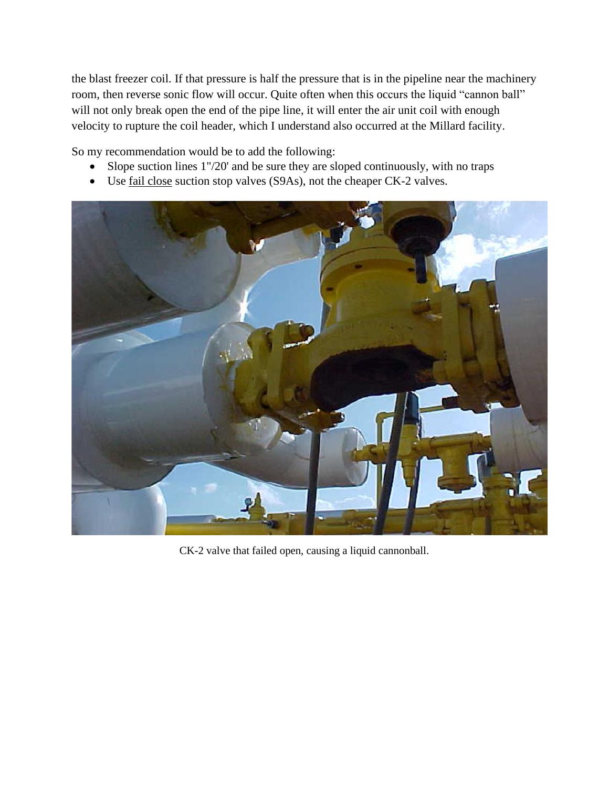the blast freezer coil. If that pressure is half the pressure that is in the pipeline near the machinery room, then reverse sonic flow will occur. Quite often when this occurs the liquid "cannon ball" will not only break open the end of the pipe line, it will enter the air unit coil with enough velocity to rupture the coil header, which I understand also occurred at the Millard facility.

So my recommendation would be to add the following:

- Slope suction lines 1"/20' and be sure they are sloped continuously, with no traps
- Use <u>fail close</u> suction stop valves (S9As), not the cheaper CK-2 valves.



CK-2 valve that failed open, causing a liquid cannonball.